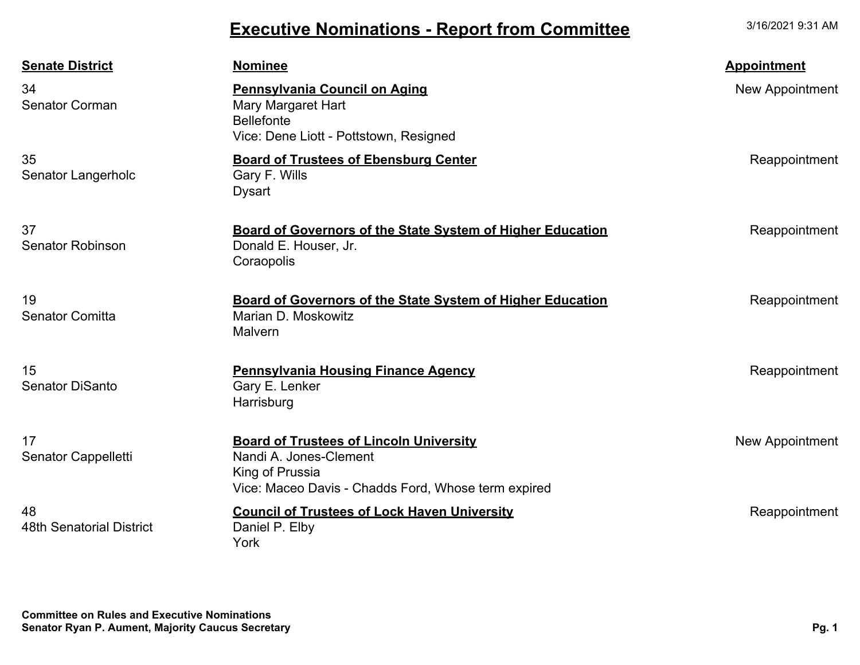## **Executive Nominations - Report from Committee**

3/16/2021 9:31 AM

| <b>Senate District</b>                | <b>Nominee</b>                                                                                                                                     | <b>Appointment</b>     |
|---------------------------------------|----------------------------------------------------------------------------------------------------------------------------------------------------|------------------------|
| 34<br><b>Senator Corman</b>           | <b>Pennsylvania Council on Aging</b><br>Mary Margaret Hart<br><b>Bellefonte</b><br>Vice: Dene Liott - Pottstown, Resigned                          | <b>New Appointment</b> |
| 35<br>Senator Langerholc              | <b>Board of Trustees of Ebensburg Center</b><br>Gary F. Wills<br><b>Dysart</b>                                                                     | Reappointment          |
| 37<br><b>Senator Robinson</b>         | <b>Board of Governors of the State System of Higher Education</b><br>Donald E. Houser, Jr.<br>Coraopolis                                           | Reappointment          |
| 19<br><b>Senator Comitta</b>          | <b>Board of Governors of the State System of Higher Education</b><br>Marian D. Moskowitz<br>Malvern                                                | Reappointment          |
| 15<br><b>Senator DiSanto</b>          | <b>Pennsylvania Housing Finance Agency</b><br>Gary E. Lenker<br>Harrisburg                                                                         | Reappointment          |
| 17<br>Senator Cappelletti             | <b>Board of Trustees of Lincoln University</b><br>Nandi A. Jones-Clement<br>King of Prussia<br>Vice: Maceo Davis - Chadds Ford, Whose term expired | New Appointment        |
| 48<br><b>48th Senatorial District</b> | <b>Council of Trustees of Lock Haven University</b><br>Daniel P. Elby<br>York                                                                      | Reappointment          |